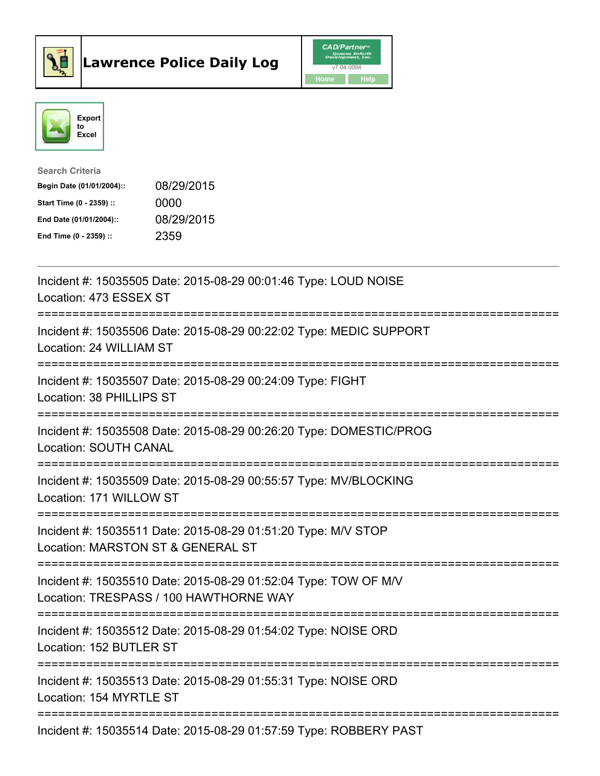



| <b>Search Criteria</b>    |            |
|---------------------------|------------|
| Begin Date (01/01/2004):: | 08/29/2015 |
| Start Time (0 - 2359) ::  | 0000       |
| End Date (01/01/2004)::   | 08/29/2015 |
| End Time (0 - 2359) ::    | 2359       |

| Incident #: 15035505 Date: 2015-08-29 00:01:46 Type: LOUD NOISE<br>Location: 473 ESSEX ST                                             |
|---------------------------------------------------------------------------------------------------------------------------------------|
| Incident #: 15035506 Date: 2015-08-29 00:22:02 Type: MEDIC SUPPORT<br>Location: 24 WILLIAM ST<br>=================                    |
| Incident #: 15035507 Date: 2015-08-29 00:24:09 Type: FIGHT<br>Location: 38 PHILLIPS ST<br>:==================                         |
| Incident #: 15035508 Date: 2015-08-29 00:26:20 Type: DOMESTIC/PROG<br>Location: SOUTH CANAL                                           |
| Incident #: 15035509 Date: 2015-08-29 00:55:57 Type: MV/BLOCKING<br>Location: 171 WILLOW ST<br>-------------                          |
| Incident #: 15035511 Date: 2015-08-29 01:51:20 Type: M/V STOP<br>Location: MARSTON ST & GENERAL ST                                    |
| Incident #: 15035510 Date: 2015-08-29 01:52:04 Type: TOW OF M/V<br>Location: TRESPASS / 100 HAWTHORNE WAY<br>======================== |
| Incident #: 15035512 Date: 2015-08-29 01:54:02 Type: NOISE ORD<br>Location: 152 BUTLER ST                                             |
| Incident #: 15035513 Date: 2015-08-29 01:55:31 Type: NOISE ORD<br>Location: 154 MYRTLE ST                                             |
| Incident #: 15035514 Date: 2015-08-29 01:57:59 Type: ROBBERY PAST                                                                     |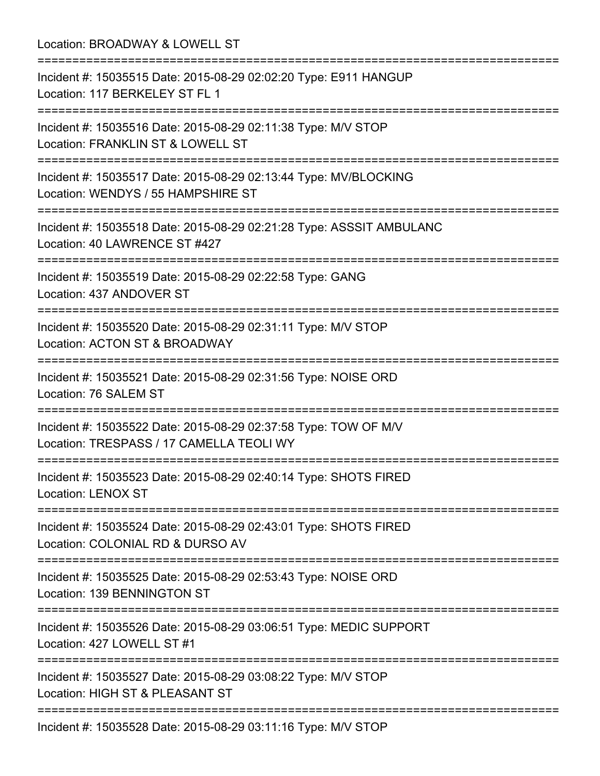Location: BROADWAY & LOWELL ST =========================================================================== Incident #: 15035515 Date: 2015-08-29 02:02:20 Type: E911 HANGUP Location: 117 BERKELEY ST FL 1 =========================================================================== Incident #: 15035516 Date: 2015-08-29 02:11:38 Type: M/V STOP Location: FRANKLIN ST & LOWELL ST =========================================================================== Incident #: 15035517 Date: 2015-08-29 02:13:44 Type: MV/BLOCKING Location: WENDYS / 55 HAMPSHIRE ST =========================================================================== Incident #: 15035518 Date: 2015-08-29 02:21:28 Type: ASSSIT AMBULANC Location: 40 LAWRENCE ST #427 =========================================================================== Incident #: 15035519 Date: 2015-08-29 02:22:58 Type: GANG Location: 437 ANDOVER ST =========================================================================== Incident #: 15035520 Date: 2015-08-29 02:31:11 Type: M/V STOP Location: ACTON ST & BROADWAY =========================================================================== Incident #: 15035521 Date: 2015-08-29 02:31:56 Type: NOISE ORD Location: 76 SALEM ST =========================================================================== Incident #: 15035522 Date: 2015-08-29 02:37:58 Type: TOW OF M/V Location: TRESPASS / 17 CAMELLA TEOLI WY =========================================================================== Incident #: 15035523 Date: 2015-08-29 02:40:14 Type: SHOTS FIRED Location: LENOX ST =========================================================================== Incident #: 15035524 Date: 2015-08-29 02:43:01 Type: SHOTS FIRED Location: COLONIAL RD & DURSO AV =========================================================================== Incident #: 15035525 Date: 2015-08-29 02:53:43 Type: NOISE ORD Location: 139 BENNINGTON ST =========================================================================== Incident #: 15035526 Date: 2015-08-29 03:06:51 Type: MEDIC SUPPORT Location: 427 LOWELL ST #1 =========================================================================== Incident #: 15035527 Date: 2015-08-29 03:08:22 Type: M/V STOP Location: HIGH ST & PLEASANT ST =========================================================================== Incident #: 15035528 Date: 2015-08-29 03:11:16 Type: M/V STOP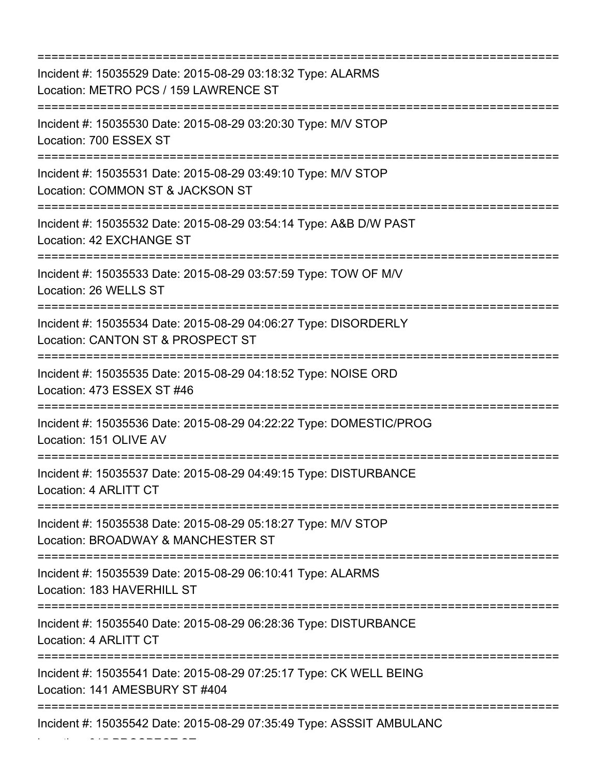=========================================================================== Incident #: 15035529 Date: 2015-08-29 03:18:32 Type: ALARMS Location: METRO PCS / 159 LAWRENCE ST =========================================================================== Incident #: 15035530 Date: 2015-08-29 03:20:30 Type: M/V STOP Location: 700 ESSEX ST =========================================================================== Incident #: 15035531 Date: 2015-08-29 03:49:10 Type: M/V STOP Location: COMMON ST & JACKSON ST =========================================================================== Incident #: 15035532 Date: 2015-08-29 03:54:14 Type: A&B D/W PAST Location: 42 EXCHANGE ST =========================================================================== Incident #: 15035533 Date: 2015-08-29 03:57:59 Type: TOW OF M/V Location: 26 WELLS ST =========================================================================== Incident #: 15035534 Date: 2015-08-29 04:06:27 Type: DISORDERLY Location: CANTON ST & PROSPECT ST =========================================================================== Incident #: 15035535 Date: 2015-08-29 04:18:52 Type: NOISE ORD Location: 473 ESSEX ST #46 =========================================================================== Incident #: 15035536 Date: 2015-08-29 04:22:22 Type: DOMESTIC/PROG Location: 151 OLIVE AV =========================================================================== Incident #: 15035537 Date: 2015-08-29 04:49:15 Type: DISTURBANCE Location: 4 ARLITT CT =========================================================================== Incident #: 15035538 Date: 2015-08-29 05:18:27 Type: M/V STOP Location: BROADWAY & MANCHESTER ST =========================================================================== Incident #: 15035539 Date: 2015-08-29 06:10:41 Type: ALARMS Location: 183 HAVERHILL ST =========================================================================== Incident #: 15035540 Date: 2015-08-29 06:28:36 Type: DISTURBANCE Location: 4 ARLITT CT =========================================================================== Incident #: 15035541 Date: 2015-08-29 07:25:17 Type: CK WELL BEING Location: 141 AMESBURY ST #404 =========================================================================== Incident #: 15035542 Date: 2015-08-29 07:35:49 Type: ASSSIT AMBULANC

Location: 315 PROSPECT ST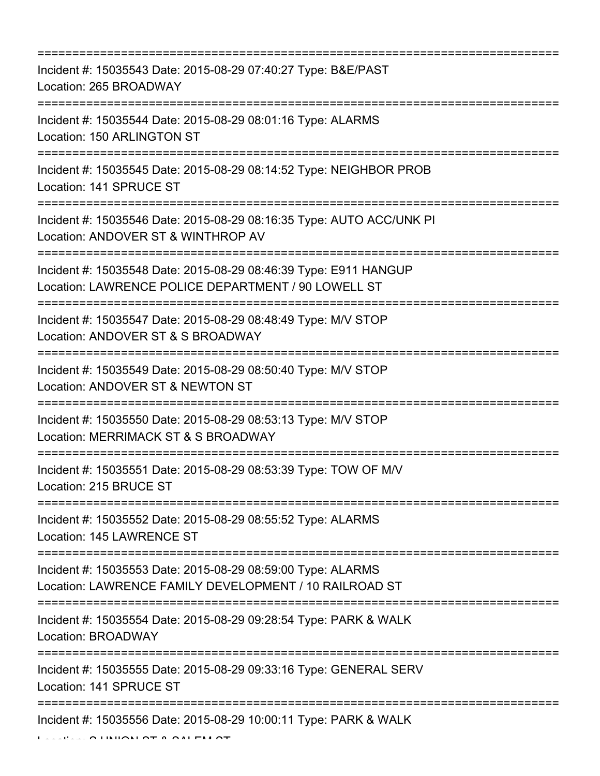| Incident #: 15035543 Date: 2015-08-29 07:40:27 Type: B&E/PAST<br>Location: 265 BROADWAY                                                                      |
|--------------------------------------------------------------------------------------------------------------------------------------------------------------|
| Incident #: 15035544 Date: 2015-08-29 08:01:16 Type: ALARMS<br>Location: 150 ARLINGTON ST                                                                    |
| Incident #: 15035545 Date: 2015-08-29 08:14:52 Type: NEIGHBOR PROB<br>Location: 141 SPRUCE ST                                                                |
| Incident #: 15035546 Date: 2015-08-29 08:16:35 Type: AUTO ACC/UNK PI<br>Location: ANDOVER ST & WINTHROP AV<br>=================                              |
| Incident #: 15035548 Date: 2015-08-29 08:46:39 Type: E911 HANGUP<br>Location: LAWRENCE POLICE DEPARTMENT / 90 LOWELL ST<br>================================= |
| Incident #: 15035547 Date: 2015-08-29 08:48:49 Type: M/V STOP<br>Location: ANDOVER ST & S BROADWAY                                                           |
| Incident #: 15035549 Date: 2015-08-29 08:50:40 Type: M/V STOP<br>Location: ANDOVER ST & NEWTON ST                                                            |
| Incident #: 15035550 Date: 2015-08-29 08:53:13 Type: M/V STOP<br>Location: MERRIMACK ST & S BROADWAY                                                         |
| Incident #: 15035551 Date: 2015-08-29 08:53:39 Type: TOW OF M/V<br>Location: 215 BRUCE ST                                                                    |
| Incident #: 15035552 Date: 2015-08-29 08:55:52 Type: ALARMS<br>Location: 145 LAWRENCE ST                                                                     |
| Incident #: 15035553 Date: 2015-08-29 08:59:00 Type: ALARMS<br>Location: LAWRENCE FAMILY DEVELOPMENT / 10 RAILROAD ST                                        |
| Incident #: 15035554 Date: 2015-08-29 09:28:54 Type: PARK & WALK<br>Location: BROADWAY                                                                       |
| Incident #: 15035555 Date: 2015-08-29 09:33:16 Type: GENERAL SERV<br>Location: 141 SPRUCE ST                                                                 |
| Incident #: 15035556 Date: 2015-08-29 10:00:11 Type: PARK & WALK                                                                                             |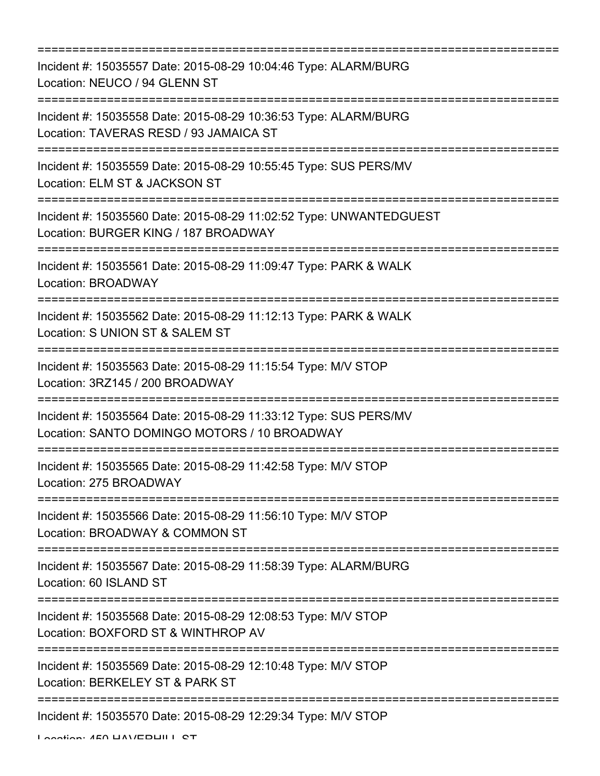| ;================================                                                                                                         |
|-------------------------------------------------------------------------------------------------------------------------------------------|
| Incident #: 15035557 Date: 2015-08-29 10:04:46 Type: ALARM/BURG<br>Location: NEUCO / 94 GLENN ST<br>--------------                        |
| Incident #: 15035558 Date: 2015-08-29 10:36:53 Type: ALARM/BURG<br>Location: TAVERAS RESD / 93 JAMAICA ST                                 |
| Incident #: 15035559 Date: 2015-08-29 10:55:45 Type: SUS PERS/MV<br>Location: ELM ST & JACKSON ST<br>==================================== |
| Incident #: 15035560 Date: 2015-08-29 11:02:52 Type: UNWANTEDGUEST<br>Location: BURGER KING / 187 BROADWAY                                |
| Incident #: 15035561 Date: 2015-08-29 11:09:47 Type: PARK & WALK<br>Location: BROADWAY                                                    |
| Incident #: 15035562 Date: 2015-08-29 11:12:13 Type: PARK & WALK<br>Location: S UNION ST & SALEM ST                                       |
| Incident #: 15035563 Date: 2015-08-29 11:15:54 Type: M/V STOP<br>Location: 3RZ145 / 200 BROADWAY<br>=======================               |
| Incident #: 15035564 Date: 2015-08-29 11:33:12 Type: SUS PERS/MV<br>Location: SANTO DOMINGO MOTORS / 10 BROADWAY                          |
| Incident #: 15035565 Date: 2015-08-29 11:42:58 Type: M/V STOP<br>Location: 275 BROADWAY<br>===================================            |
| Incident #: 15035566 Date: 2015-08-29 11:56:10 Type: M/V STOP<br>Location: BROADWAY & COMMON ST                                           |
| Incident #: 15035567 Date: 2015-08-29 11:58:39 Type: ALARM/BURG<br>Location: 60 ISLAND ST                                                 |
| =================<br>Incident #: 15035568 Date: 2015-08-29 12:08:53 Type: M/V STOP<br>Location: BOXFORD ST & WINTHROP AV                  |
| Incident #: 15035569 Date: 2015-08-29 12:10:48 Type: M/V STOP<br>Location: BERKELEY ST & PARK ST                                          |
| Incident #: 15035570 Date: 2015-08-29 12:29:34 Type: M/V STOP                                                                             |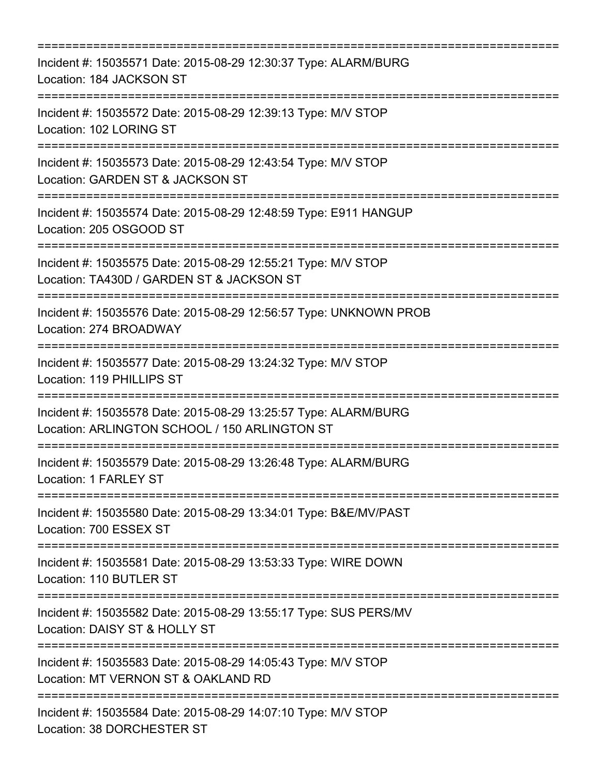| ;===================================<br>----------------------------------                                                                                     |
|----------------------------------------------------------------------------------------------------------------------------------------------------------------|
| Incident #: 15035571 Date: 2015-08-29 12:30:37 Type: ALARM/BURG<br>Location: 184 JACKSON ST                                                                    |
| Incident #: 15035572 Date: 2015-08-29 12:39:13 Type: M/V STOP<br>Location: 102 LORING ST                                                                       |
| Incident #: 15035573 Date: 2015-08-29 12:43:54 Type: M/V STOP<br>Location: GARDEN ST & JACKSON ST<br>===============================                           |
| Incident #: 15035574 Date: 2015-08-29 12:48:59 Type: E911 HANGUP<br>Location: 205 OSGOOD ST<br>--------------------                                            |
| Incident #: 15035575 Date: 2015-08-29 12:55:21 Type: M/V STOP<br>Location: TA430D / GARDEN ST & JACKSON ST                                                     |
| Incident #: 15035576 Date: 2015-08-29 12:56:57 Type: UNKNOWN PROB<br>Location: 274 BROADWAY                                                                    |
| Incident #: 15035577 Date: 2015-08-29 13:24:32 Type: M/V STOP<br>Location: 119 PHILLIPS ST                                                                     |
| ================================<br>Incident #: 15035578 Date: 2015-08-29 13:25:57 Type: ALARM/BURG<br>Location: ARLINGTON SCHOOL / 150 ARLINGTON ST           |
| ===================================<br>Incident #: 15035579 Date: 2015-08-29 13:26:48 Type: ALARM/BURG<br>Location: 1 FARLEY ST                                |
| ==================================<br>==========================<br>Incident #: 15035580 Date: 2015-08-29 13:34:01 Type: B&E/MV/PAST<br>Location: 700 ESSEX ST |
| Incident #: 15035581 Date: 2015-08-29 13:53:33 Type: WIRE DOWN<br>Location: 110 BUTLER ST                                                                      |
| Incident #: 15035582 Date: 2015-08-29 13:55:17 Type: SUS PERS/MV<br>Location: DAISY ST & HOLLY ST                                                              |
| Incident #: 15035583 Date: 2015-08-29 14:05:43 Type: M/V STOP<br>Location: MT VERNON ST & OAKLAND RD                                                           |
| Incident #: 15035584 Date: 2015-08-29 14:07:10 Type: M/V STOP<br>Location: 38 DORCHESTER ST                                                                    |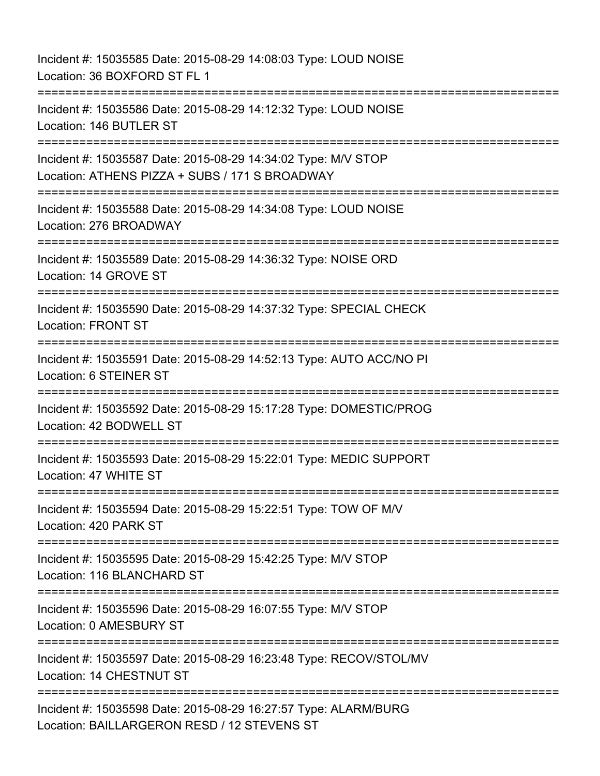Incident #: 15035585 Date: 2015-08-29 14:08:03 Type: LOUD NOISE Location: 36 BOXFORD ST FL 1 =========================================================================== Incident #: 15035586 Date: 2015-08-29 14:12:32 Type: LOUD NOISE Location: 146 BUTLER ST =========================================================================== Incident #: 15035587 Date: 2015-08-29 14:34:02 Type: M/V STOP Location: ATHENS PIZZA + SUBS / 171 S BROADWAY =========================================================================== Incident #: 15035588 Date: 2015-08-29 14:34:08 Type: LOUD NOISE Location: 276 BROADWAY =========================================================================== Incident #: 15035589 Date: 2015-08-29 14:36:32 Type: NOISE ORD Location: 14 GROVE ST =========================================================================== Incident #: 15035590 Date: 2015-08-29 14:37:32 Type: SPECIAL CHECK Location: FRONT ST =========================================================================== Incident #: 15035591 Date: 2015-08-29 14:52:13 Type: AUTO ACC/NO PI Location: 6 STEINER ST =========================================================================== Incident #: 15035592 Date: 2015-08-29 15:17:28 Type: DOMESTIC/PROG Location: 42 BODWELL ST =========================================================================== Incident #: 15035593 Date: 2015-08-29 15:22:01 Type: MEDIC SUPPORT Location: 47 WHITE ST =========================================================================== Incident #: 15035594 Date: 2015-08-29 15:22:51 Type: TOW OF M/V Location: 420 PARK ST =========================================================================== Incident #: 15035595 Date: 2015-08-29 15:42:25 Type: M/V STOP Location: 116 BLANCHARD ST =========================================================================== Incident #: 15035596 Date: 2015-08-29 16:07:55 Type: M/V STOP Location: 0 AMESBURY ST =========================================================================== Incident #: 15035597 Date: 2015-08-29 16:23:48 Type: RECOV/STOL/MV Location: 14 CHESTNUT ST ============================= Incident #: 15035598 Date: 2015-08-29 16:27:57 Type: ALARM/BURG Location: BAILLARGERON RESD / 12 STEVENS ST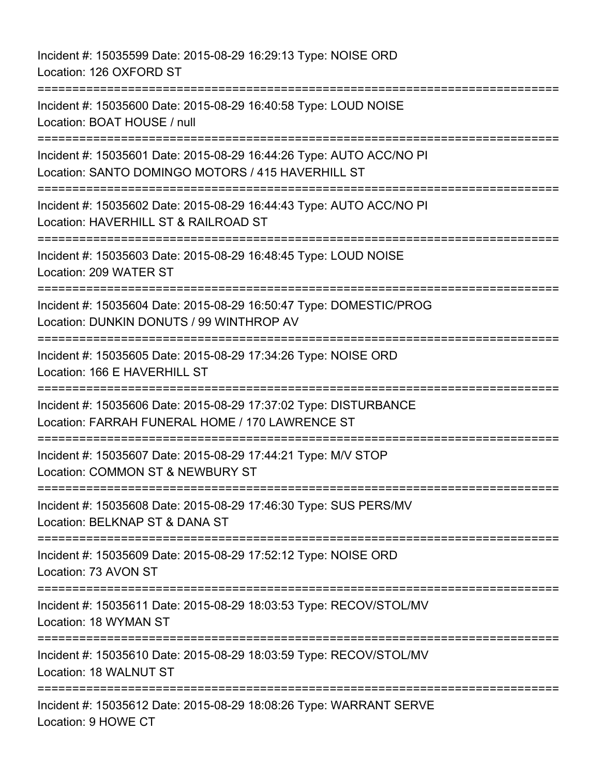Incident #: 15035599 Date: 2015-08-29 16:29:13 Type: NOISE ORD Location: 126 OXFORD ST =========================================================================== Incident #: 15035600 Date: 2015-08-29 16:40:58 Type: LOUD NOISE Location: BOAT HOUSE / null =========================================================================== Incident #: 15035601 Date: 2015-08-29 16:44:26 Type: AUTO ACC/NO PI Location: SANTO DOMINGO MOTORS / 415 HAVERHILL ST =========================================================================== Incident #: 15035602 Date: 2015-08-29 16:44:43 Type: AUTO ACC/NO PI Location: HAVERHILL ST & RAILROAD ST =========================================================================== Incident #: 15035603 Date: 2015-08-29 16:48:45 Type: LOUD NOISE Location: 209 WATER ST =========================================================================== Incident #: 15035604 Date: 2015-08-29 16:50:47 Type: DOMESTIC/PROG Location: DUNKIN DONUTS / 99 WINTHROP AV =========================================================================== Incident #: 15035605 Date: 2015-08-29 17:34:26 Type: NOISE ORD Location: 166 E HAVERHILL ST =========================================================================== Incident #: 15035606 Date: 2015-08-29 17:37:02 Type: DISTURBANCE Location: FARRAH FUNERAL HOME / 170 LAWRENCE ST =========================================================================== Incident #: 15035607 Date: 2015-08-29 17:44:21 Type: M/V STOP Location: COMMON ST & NEWBURY ST =========================================================================== Incident #: 15035608 Date: 2015-08-29 17:46:30 Type: SUS PERS/MV Location: BELKNAP ST & DANA ST =========================================================================== Incident #: 15035609 Date: 2015-08-29 17:52:12 Type: NOISE ORD Location: 73 AVON ST =========================================================================== Incident #: 15035611 Date: 2015-08-29 18:03:53 Type: RECOV/STOL/MV Location: 18 WYMAN ST =========================================================================== Incident #: 15035610 Date: 2015-08-29 18:03:59 Type: RECOV/STOL/MV Location: 18 WALNUT ST =========================================================================== Incident #: 15035612 Date: 2015-08-29 18:08:26 Type: WARRANT SERVE Location: 9 HOWE CT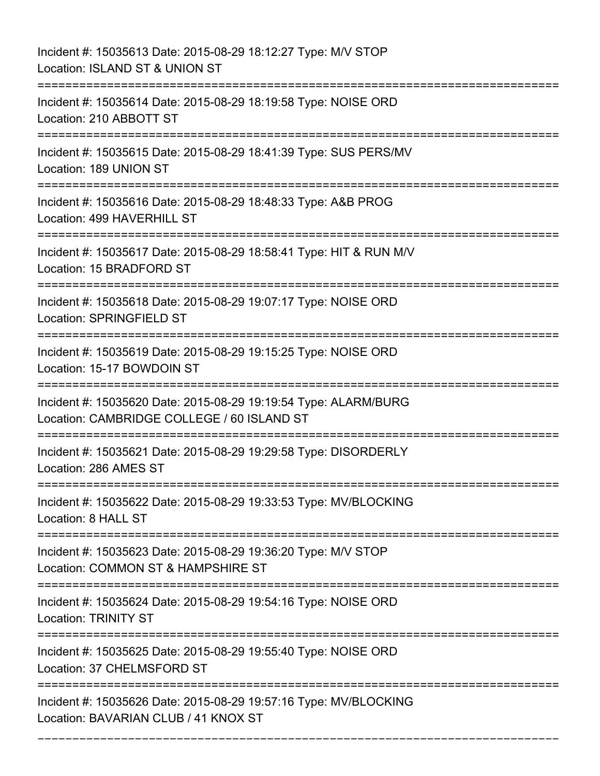Incident #: 15035613 Date: 2015-08-29 18:12:27 Type: M/V STOP Location: ISLAND ST & UNION ST =========================================================================== Incident #: 15035614 Date: 2015-08-29 18:19:58 Type: NOISE ORD Location: 210 ABBOTT ST =========================================================================== Incident #: 15035615 Date: 2015-08-29 18:41:39 Type: SUS PERS/MV Location: 189 UNION ST =========================================================================== Incident #: 15035616 Date: 2015-08-29 18:48:33 Type: A&B PROG Location: 499 HAVERHILL ST =========================================================================== Incident #: 15035617 Date: 2015-08-29 18:58:41 Type: HIT & RUN M/V Location: 15 BRADFORD ST =========================================================================== Incident #: 15035618 Date: 2015-08-29 19:07:17 Type: NOISE ORD Location: SPRINGFIELD ST =========================================================================== Incident #: 15035619 Date: 2015-08-29 19:15:25 Type: NOISE ORD Location: 15-17 BOWDOIN ST =========================================================================== Incident #: 15035620 Date: 2015-08-29 19:19:54 Type: ALARM/BURG Location: CAMBRIDGE COLLEGE / 60 ISLAND ST =========================================================================== Incident #: 15035621 Date: 2015-08-29 19:29:58 Type: DISORDERLY Location: 286 AMES ST =========================================================================== Incident #: 15035622 Date: 2015-08-29 19:33:53 Type: MV/BLOCKING Location: 8 HALL ST =========================================================================== Incident #: 15035623 Date: 2015-08-29 19:36:20 Type: M/V STOP Location: COMMON ST & HAMPSHIRE ST =========================================================================== Incident #: 15035624 Date: 2015-08-29 19:54:16 Type: NOISE ORD Location: TRINITY ST =========================================================================== Incident #: 15035625 Date: 2015-08-29 19:55:40 Type: NOISE ORD Location: 37 CHELMSFORD ST =========================================================================== Incident #: 15035626 Date: 2015-08-29 19:57:16 Type: MV/BLOCKING Location: BAVARIAN CLUB / 41 KNOX ST

===========================================================================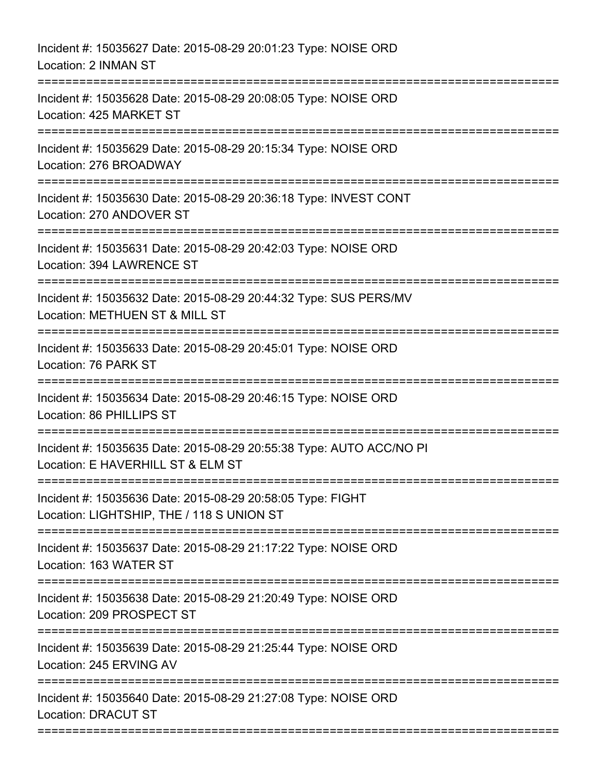| Incident #: 15035627 Date: 2015-08-29 20:01:23 Type: NOISE ORD<br>Location: 2 INMAN ST                                                               |
|------------------------------------------------------------------------------------------------------------------------------------------------------|
| Incident #: 15035628 Date: 2015-08-29 20:08:05 Type: NOISE ORD<br>Location: 425 MARKET ST                                                            |
| Incident #: 15035629 Date: 2015-08-29 20:15:34 Type: NOISE ORD<br>Location: 276 BROADWAY<br>==============================<br>====================== |
| Incident #: 15035630 Date: 2015-08-29 20:36:18 Type: INVEST CONT<br>Location: 270 ANDOVER ST                                                         |
| Incident #: 15035631 Date: 2015-08-29 20:42:03 Type: NOISE ORD<br>Location: 394 LAWRENCE ST                                                          |
| Incident #: 15035632 Date: 2015-08-29 20:44:32 Type: SUS PERS/MV<br>Location: METHUEN ST & MILL ST                                                   |
| Incident #: 15035633 Date: 2015-08-29 20:45:01 Type: NOISE ORD<br>Location: 76 PARK ST<br>:=============================                             |
| Incident #: 15035634 Date: 2015-08-29 20:46:15 Type: NOISE ORD<br>Location: 86 PHILLIPS ST                                                           |
| Incident #: 15035635 Date: 2015-08-29 20:55:38 Type: AUTO ACC/NO PI<br>Location: E HAVERHILL ST & ELM ST                                             |
| Incident #: 15035636 Date: 2015-08-29 20:58:05 Type: FIGHT<br>Location: LIGHTSHIP, THE / 118 S UNION ST                                              |
| Incident #: 15035637 Date: 2015-08-29 21:17:22 Type: NOISE ORD<br>Location: 163 WATER ST                                                             |
| Incident #: 15035638 Date: 2015-08-29 21:20:49 Type: NOISE ORD<br>Location: 209 PROSPECT ST                                                          |
| Incident #: 15035639 Date: 2015-08-29 21:25:44 Type: NOISE ORD<br>Location: 245 ERVING AV                                                            |
| Incident #: 15035640 Date: 2015-08-29 21:27:08 Type: NOISE ORD<br><b>Location: DRACUT ST</b>                                                         |
|                                                                                                                                                      |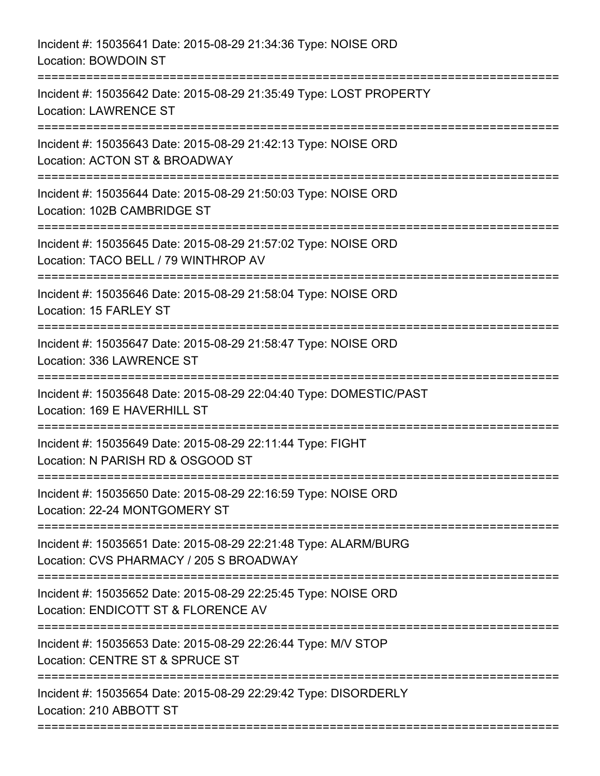| Incident #: 15035641 Date: 2015-08-29 21:34:36 Type: NOISE ORD<br>Location: BOWDOIN ST                                       |
|------------------------------------------------------------------------------------------------------------------------------|
| Incident #: 15035642 Date: 2015-08-29 21:35:49 Type: LOST PROPERTY<br><b>Location: LAWRENCE ST</b>                           |
| Incident #: 15035643 Date: 2015-08-29 21:42:13 Type: NOISE ORD<br>Location: ACTON ST & BROADWAY<br>========================= |
| Incident #: 15035644 Date: 2015-08-29 21:50:03 Type: NOISE ORD<br>Location: 102B CAMBRIDGE ST                                |
| Incident #: 15035645 Date: 2015-08-29 21:57:02 Type: NOISE ORD<br>Location: TACO BELL / 79 WINTHROP AV                       |
| Incident #: 15035646 Date: 2015-08-29 21:58:04 Type: NOISE ORD<br>Location: 15 FARLEY ST                                     |
| Incident #: 15035647 Date: 2015-08-29 21:58:47 Type: NOISE ORD<br>Location: 336 LAWRENCE ST<br>=========================     |
| Incident #: 15035648 Date: 2015-08-29 22:04:40 Type: DOMESTIC/PAST<br>Location: 169 E HAVERHILL ST                           |
| Incident #: 15035649 Date: 2015-08-29 22:11:44 Type: FIGHT<br>Location: N PARISH RD & OSGOOD ST                              |
| Incident #: 15035650 Date: 2015-08-29 22:16:59 Type: NOISE ORD<br>Location: 22-24 MONTGOMERY ST                              |
| Incident #: 15035651 Date: 2015-08-29 22:21:48 Type: ALARM/BURG<br>Location: CVS PHARMACY / 205 S BROADWAY                   |
| Incident #: 15035652 Date: 2015-08-29 22:25:45 Type: NOISE ORD<br>Location: ENDICOTT ST & FLORENCE AV                        |
| Incident #: 15035653 Date: 2015-08-29 22:26:44 Type: M/V STOP<br>Location: CENTRE ST & SPRUCE ST                             |
| Incident #: 15035654 Date: 2015-08-29 22:29:42 Type: DISORDERLY<br>Location: 210 ABBOTT ST                                   |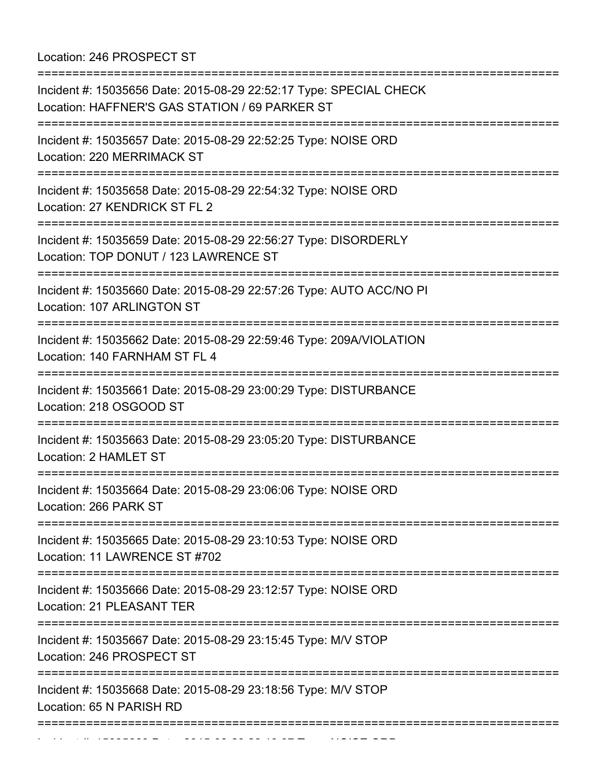Location: 246 PROSPECT ST

| Incident #: 15035656 Date: 2015-08-29 22:52:17 Type: SPECIAL CHECK<br>Location: HAFFNER'S GAS STATION / 69 PARKER ST<br>============================= | --------------------------------- |
|-------------------------------------------------------------------------------------------------------------------------------------------------------|-----------------------------------|
| Incident #: 15035657 Date: 2015-08-29 22:52:25 Type: NOISE ORD<br>Location: 220 MERRIMACK ST                                                          |                                   |
| Incident #: 15035658 Date: 2015-08-29 22:54:32 Type: NOISE ORD<br>Location: 27 KENDRICK ST FL 2<br>====================================               |                                   |
| Incident #: 15035659 Date: 2015-08-29 22:56:27 Type: DISORDERLY<br>Location: TOP DONUT / 123 LAWRENCE ST                                              |                                   |
| Incident #: 15035660 Date: 2015-08-29 22:57:26 Type: AUTO ACC/NO PI<br>Location: 107 ARLINGTON ST                                                     |                                   |
| Incident #: 15035662 Date: 2015-08-29 22:59:46 Type: 209A/VIOLATION<br>Location: 140 FARNHAM ST FL 4                                                  |                                   |
| Incident #: 15035661 Date: 2015-08-29 23:00:29 Type: DISTURBANCE<br>Location: 218 OSGOOD ST                                                           |                                   |
| Incident #: 15035663 Date: 2015-08-29 23:05:20 Type: DISTURBANCE<br>Location: 2 HAMLET ST                                                             |                                   |
| Incident #: 15035664 Date: 2015-08-29 23:06:06 Type: NOISE ORD<br>Location: 266 PARK ST                                                               |                                   |
| Incident #: 15035665 Date: 2015-08-29 23:10:53 Type: NOISE ORD<br>Location: 11 LAWRENCE ST #702                                                       | =========================         |
| Incident #: 15035666 Date: 2015-08-29 23:12:57 Type: NOISE ORD<br>Location: 21 PLEASANT TER                                                           |                                   |
| ======================<br>Incident #: 15035667 Date: 2015-08-29 23:15:45 Type: M/V STOP<br>Location: 246 PROSPECT ST                                  |                                   |
| Incident #: 15035668 Date: 2015-08-29 23:18:56 Type: M/V STOP<br>Location: 65 N PARISH RD                                                             |                                   |